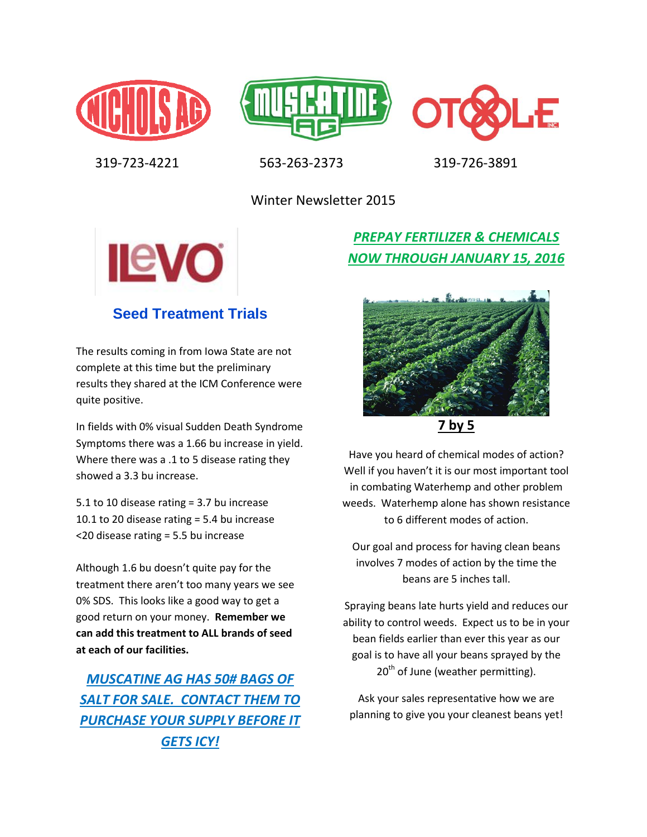





319-723-4221 563-263-2373 319-726-3891

Winter Newsletter 2015



# **Seed Treatment Trials**

The results coming in from Iowa State are not complete at this time but the preliminary results they shared at the ICM Conference were quite positive.

In fields with 0% visual Sudden Death Syndrome Symptoms there was a 1.66 bu increase in yield. Where there was a .1 to 5 disease rating they showed a 3.3 bu increase.

5.1 to 10 disease rating = 3.7 bu increase 10.1 to 20 disease rating = 5.4 bu increase <20 disease rating = 5.5 bu increase

Although 1.6 bu doesn't quite pay for the treatment there aren't too many years we see 0% SDS. This looks like a good way to get a good return on your money. **Remember we can add this treatment to ALL brands of seed at each of our facilities.**

*MUSCATINE AG HAS 50# BAGS OF SALT FOR SALE. CONTACT THEM TO PURCHASE YOUR SUPPLY BEFORE IT GETS ICY!*

*PREPAY FERTILIZER & CHEMICALS NOW THROUGH JANUARY 15, 2016*



**7 by 5**

Have you heard of chemical modes of action? Well if you haven't it is our most important tool in combating Waterhemp and other problem weeds. Waterhemp alone has shown resistance to 6 different modes of action.

Our goal and process for having clean beans involves 7 modes of action by the time the beans are 5 inches tall.

Spraying beans late hurts yield and reduces our ability to control weeds. Expect us to be in your bean fields earlier than ever this year as our goal is to have all your beans sprayed by the  $20<sup>th</sup>$  of June (weather permitting).

Ask your sales representative how we are planning to give you your cleanest beans yet!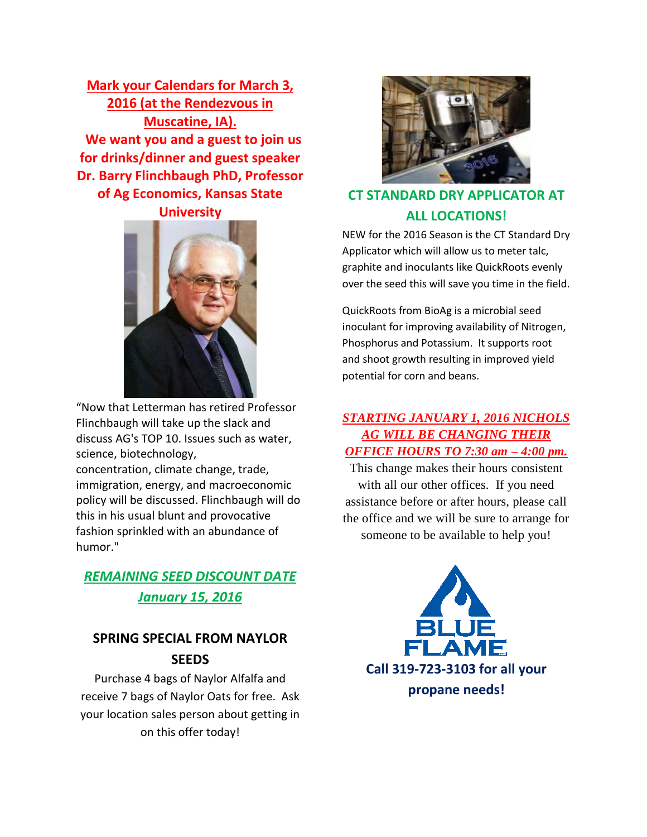**Mark your Calendars for March 3, 2016 (at the Rendezvous in Muscatine, IA). We want you and a guest to join us for drinks/dinner and guest speaker Dr. Barry Flinchbaugh PhD, Professor of Ag Economics, Kansas State** 

#### **University**



"Now that Letterman has retired Professor Flinchbaugh will take up the slack and discuss AG's TOP 10. Issues such as water, science, biotechnology,

concentration, climate change, trade, immigration, energy, and macroeconomic policy will be discussed. Flinchbaugh will do this in his usual blunt and provocative fashion sprinkled with an abundance of humor."

## *REMAINING SEED DISCOUNT DATE January 15, 2016*

### **SPRING SPECIAL FROM NAYLOR SEEDS**

Purchase 4 bags of Naylor Alfalfa and receive 7 bags of Naylor Oats for free. Ask your location sales person about getting in on this offer today!



# **CT STANDARD DRY APPLICATOR AT ALL LOCATIONS!**

NEW for the 2016 Season is the CT Standard Dry Applicator which will allow us to meter talc, graphite and inoculants like QuickRoots evenly over the seed this will save you time in the field.

QuickRoots from BioAg is a microbial seed inoculant for improving availability of Nitrogen, Phosphorus and Potassium. It supports root and shoot growth resulting in improved yield potential for corn and beans.

#### *STARTING JANUARY 1, 2016 NICHOLS AG WILL BE CHANGING THEIR OFFICE HOURS TO 7:30 am – 4:00 pm.*

This change makes their hours consistent with all our other offices. If you need assistance before or after hours, please call the office and we will be sure to arrange for someone to be available to help you!

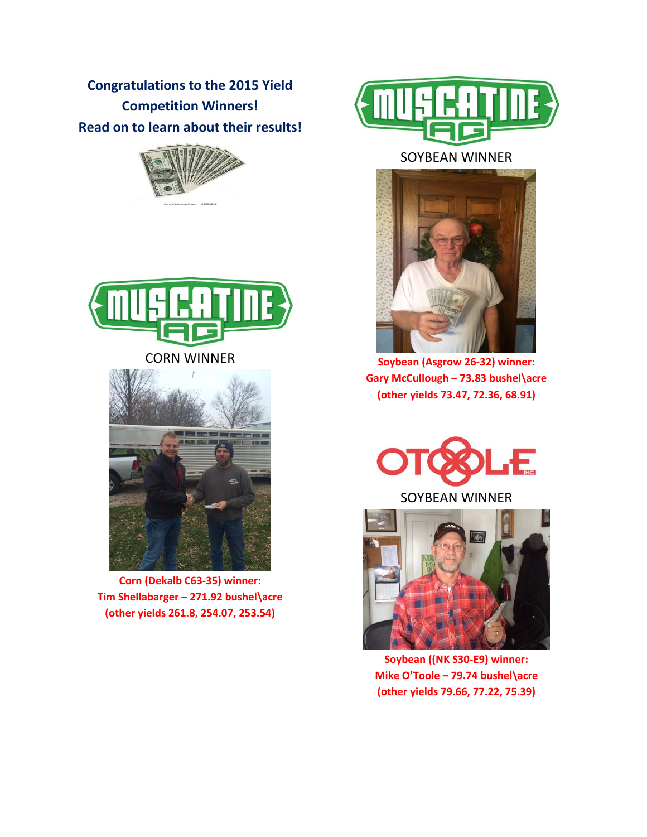**Congratulations to the 2015 Yield Competition Winners! Read on to learn about their results!**





CORN WINNER



**Corn (Dekalb C63-35) winner: Tim Shellabarger – 271.92 bushel\acre (other yields 261.8, 254.07, 253.54)**



SOYBEAN WINNER



**Soybean (Asgrow 26-32) winner: Gary McCullough – 73.83 bushel\acre (other yields 73.47, 72.36, 68.91)**





**Soybean ((NK S30-E9) winner: Mike O'Toole – 79.74 bushel\acre (other yields 79.66, 77.22, 75.39)**